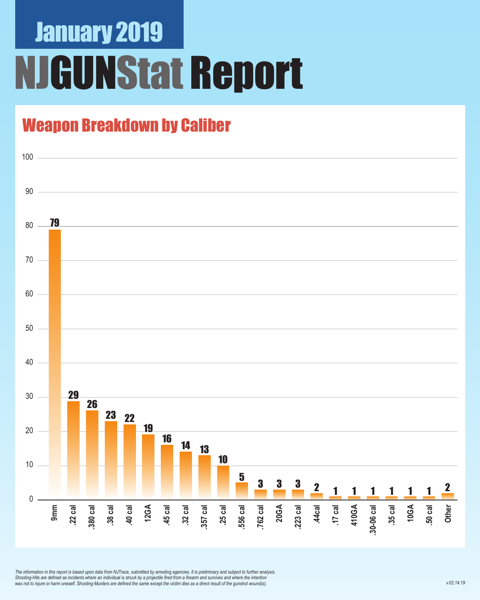## January 2019 **IGUNStat Report**

## Weapon Breakdown by Caliber



*The information in this report is based upon data from NJTrace, submitted by arresting agencies. It is preliminary and subject to further analysis. Shooting-Hits are defined as incidents where an individual is struck by a projectile fired from a firearm and survives and where the intention was not to injure or harm oneself. Shooting-Murders are defined the same except the victim dies as a direct result of the gunshot wound(s).*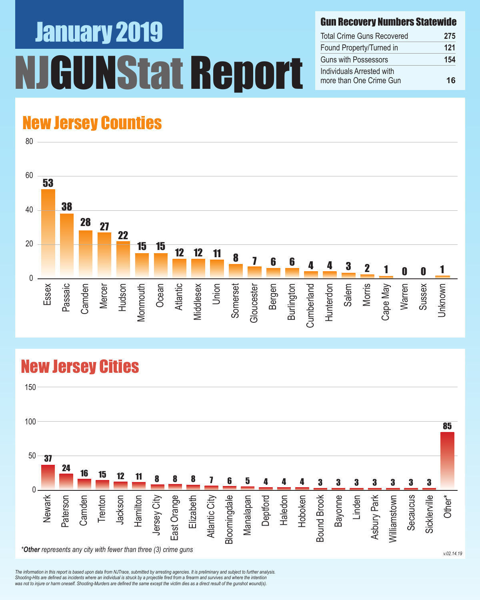# January 2019 UNStat Report

#### Gun Recovery Numbers Statewide

| <b>Total Crime Guns Recovered</b>                    | 275 |
|------------------------------------------------------|-----|
| Found Property/Turned in                             | 121 |
| Guns with Possessors                                 | 154 |
| Individuals Arrested with<br>more than One Crime Gun | 16  |

### New Jersey Counties

80



### New Jersey Cities



*The information in this report is based upon data from NJTrace, submitted by arresting agencies. It is preliminary and subject to further analysis. Shooting-Hits are defined as incidents where an individual is struck by a projectile fired from a firearm and survives and where the intention*  was not to injure or harm oneself. Shooting-Murders are defined the same except the victim dies as a direct result of the gunshot wound(s).